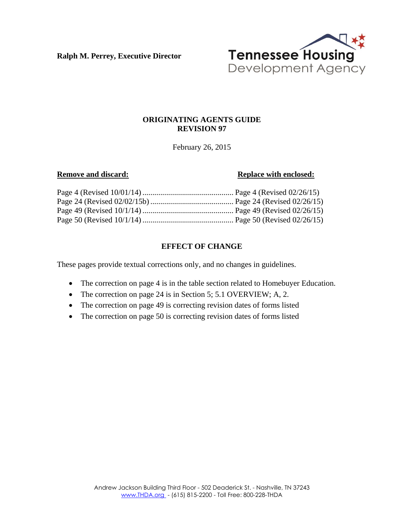**Ralph M. Perrey, Executive Director**



## **ORIGINATING AGENTS GUIDE REVISION 97**

February 26, 2015

#### **Remove and discard: Replace with enclosed:**

# **EFFECT OF CHANGE**

These pages provide textual corrections only, and no changes in guidelines.

- The correction on page 4 is in the table section related to Homebuyer Education.
- The correction on page 24 is in Section 5; 5.1 OVERVIEW; A, 2.
- The correction on page 49 is correcting revision dates of forms listed
- The correction on page 50 is correcting revision dates of forms listed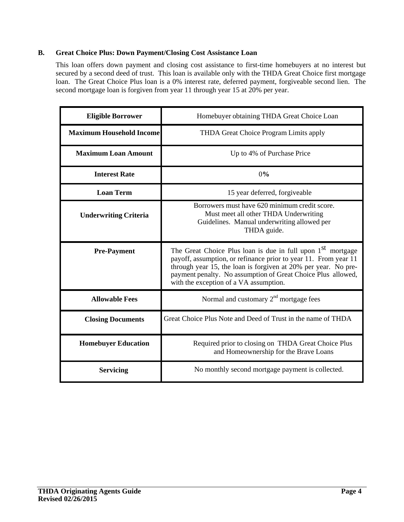## **B. Great Choice Plus: Down Payment/Closing Cost Assistance Loan**

This loan offers down payment and closing cost assistance to first-time homebuyers at no interest but secured by a second deed of trust. This loan is available only with the THDA Great Choice first mortgage loan. The Great Choice Plus loan is a 0% interest rate, deferred payment, forgiveable second lien. The second mortgage loan is forgiven from year 11 through year 15 at 20% per year.

| <b>Eligible Borrower</b>        | Homebuyer obtaining THDA Great Choice Loan                                                                                                                                                                                                                                                                             |
|---------------------------------|------------------------------------------------------------------------------------------------------------------------------------------------------------------------------------------------------------------------------------------------------------------------------------------------------------------------|
| <b>Maximum Household Income</b> | THDA Great Choice Program Limits apply                                                                                                                                                                                                                                                                                 |
| <b>Maximum Loan Amount</b>      | Up to 4% of Purchase Price                                                                                                                                                                                                                                                                                             |
| <b>Interest Rate</b>            | 0%                                                                                                                                                                                                                                                                                                                     |
| <b>Loan Term</b>                | 15 year deferred, forgiveable                                                                                                                                                                                                                                                                                          |
| <b>Underwriting Criteria</b>    | Borrowers must have 620 minimum credit score.<br>Must meet all other THDA Underwriting<br>Guidelines. Manual underwriting allowed per<br>THDA guide.                                                                                                                                                                   |
| <b>Pre-Payment</b>              | The Great Choice Plus loan is due in full upon 1 <sup>st</sup> mortgage<br>payoff, assumption, or refinance prior to year 11. From year 11<br>through year 15, the loan is forgiven at 20% per year. No pre-<br>payment penalty. No assumption of Great Choice Plus allowed,<br>with the exception of a VA assumption. |
| <b>Allowable Fees</b>           | Normal and customary $2nd$ mortgage fees                                                                                                                                                                                                                                                                               |
| <b>Closing Documents</b>        | Great Choice Plus Note and Deed of Trust in the name of THDA                                                                                                                                                                                                                                                           |
| <b>Homebuyer Education</b>      | Required prior to closing on THDA Great Choice Plus<br>and Homeownership for the Brave Loans                                                                                                                                                                                                                           |
| <b>Servicing</b>                | No monthly second mortgage payment is collected.                                                                                                                                                                                                                                                                       |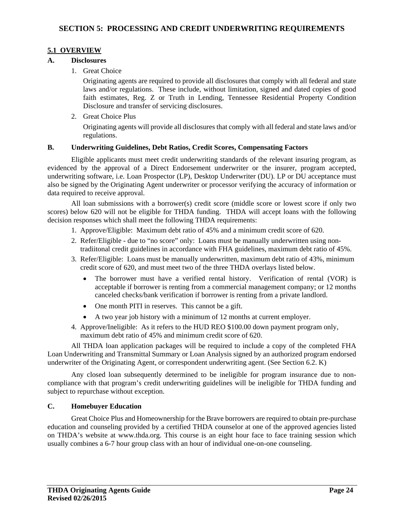## **5.1 OVERVIEW**

## **A. Disclosures**

1. Great Choice

Originating agents are required to provide all disclosures that comply with all federal and state laws and/or regulations. These include, without limitation, signed and dated copies of good faith estimates, Reg. Z or Truth in Lending, Tennessee Residential Property Condition Disclosure and transfer of servicing disclosures.

2. Great Choice Plus

Originating agents will provide all disclosures that comply with all federal and state laws and/or regulations.

## **B. Underwriting Guidelines, Debt Ratios, Credit Scores, Compensating Factors**

Eligible applicants must meet credit underwriting standards of the relevant insuring program, as evidenced by the approval of a Direct Endorsement underwriter or the insurer, program accepted, underwriting software, i.e. Loan Prospector (LP), Desktop Underwriter (DU). LP or DU acceptance must also be signed by the Originating Agent underwriter or processor verifying the accuracy of information or data required to receive approval.

All loan submissions with a borrower(s) credit score (middle score or lowest score if only two scores) below 620 will not be eligible for THDA funding. THDA will accept loans with the following decision responses which shall meet the following THDA requirements:

- 1. Approve/Eligible: Maximum debt ratio of 45% and a minimum credit score of 620.
- 2. Refer/Eligible due to "no score" only: Loans must be manually underwritten using non tradiitonal credit guidelines in accordance with FHA guidelines, maximum debt ratio of 45%.
- 3. Refer/Eligible: Loans must be manually underwritten, maximum debt ratio of 43%, minimum credit score of 620, and must meet two of the three THDA overlays listed below.
	- The borrower must have a verified rental history. Verification of rental (VOR) is acceptable if borrower is renting from a commercial management company; or 12 months canceled checks/bank verification if borrower is renting from a private landlord.
	- One month PITI in reserves. This cannot be a gift.
	- A two year job history with a minimum of 12 months at current employer.
- 4. Approve/Ineligible: As it refers to the HUD REO \$100.00 down payment program only, maximum debt ratio of 45% and minimum credit score of 620.

All THDA loan application packages will be required to include a copy of the completed FHA Loan Underwriting and Transmittal Summary or Loan Analysis signed by an authorized program endorsed underwriter of the Originating Agent, or correspondent underwriting agent. (See Section 6.2. K)

Any closed loan subsequently determined to be ineligible for program insurance due to noncompliance with that program's credit underwriting guidelines will be ineligible for THDA funding and subject to repurchase without exception.

## **C. Homebuyer Education**

Great Choice Plus and Homeownership for the Brave borrowers are required to obtain pre-purchase education and counseling provided by a certified THDA counselor at one of the approved agencies listed on THDA's website at www.thda.org. This course is an eight hour face to face training session which usually combines a 6-7 hour group class with an hour of individual one-on-one counseling.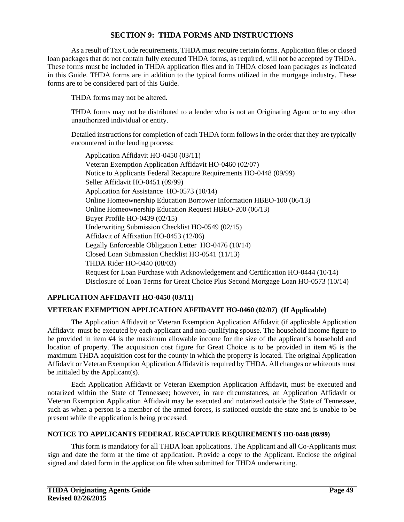## **SECTION 9: THDA FORMS AND INSTRUCTIONS**

As a result of Tax Code requirements, THDA must require certain forms. Application files or closed loan packages that do not contain fully executed THDA forms, as required, will not be accepted by THDA. These forms must be included in THDA application files and in THDA closed loan packages as indicated in this Guide. THDA forms are in addition to the typical forms utilized in the mortgage industry. These forms are to be considered part of this Guide.

THDA forms may not be altered.

THDA forms may not be distributed to a lender who is not an Originating Agent or to any other unauthorized individual or entity.

Detailed instructions for completion of each THDA form follows in the order that they are typically encountered in the lending process:

Application Affidavit HO-0450 (03/11) Veteran Exemption Application Affidavit HO-0460 (02/07) Notice to Applicants Federal Recapture Requirements HO-0448 (09/99) Seller Affidavit HO-0451 (09/99) Application for Assistance HO-0573 (10/14) Online Homeownership Education Borrower Information HBEO-100 (06/13) Online Homeownership Education Request HBEO-200 (06/13) Buyer Profile HO-0439 (02/15) Underwriting Submission Checklist HO-0549 (02/15) Affidavit of Affixation HO-0453 (12/06) Legally Enforceable Obligation Letter HO-0476 (10/14) Closed Loan Submission Checklist HO-0541 (11/13) THDA Rider HO-0440 (08/03) Request for Loan Purchase with Acknowledgement and Certification HO-0444 (10/14) Disclosure of Loan Terms for Great Choice Plus Second Mortgage Loan HO-0573 (10/14)

## **APPLICATION AFFIDAVIT HO-0450 (03/11)**

## **VETERAN EXEMPTION APPLICATION AFFIDAVIT HO-0460 (02/07) (If Applicable)**

The Application Affidavit or Veteran Exemption Application Affidavit (if applicable Application Affidavit must be executed by each applicant and non-qualifying spouse. The household income figure to be provided in item #4 is the maximum allowable income for the size of the applicant's household and location of property. The acquisition cost figure for Great Choice is to be provided in item #5 is the maximum THDA acquisition cost for the county in which the property is located. The original Application Affidavit or Veteran Exemption Application Affidavit is required by THDA. All changes or whiteouts must be initialed by the Applicant(s).

Each Application Affidavit or Veteran Exemption Application Affidavit, must be executed and notarized within the State of Tennessee; however, in rare circumstances, an Application Affidavit or Veteran Exemption Application Affidavit may be executed and notarized outside the State of Tennessee, such as when a person is a member of the armed forces, is stationed outside the state and is unable to be present while the application is being processed.

#### **NOTICE TO APPLICANTS FEDERAL RECAPTURE REQUIREMENTS HO-0448 (09/99)**

This form is mandatory for all THDA loan applications. The Applicant and all Co-Applicants must sign and date the form at the time of application. Provide a copy to the Applicant. Enclose the original signed and dated form in the application file when submitted for THDA underwriting.